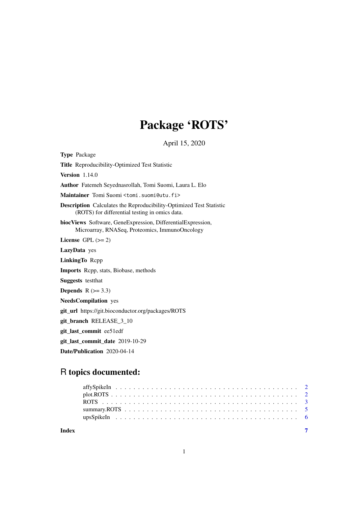# Package 'ROTS'

April 15, 2020

Type Package Title Reproducibility-Optimized Test Statistic Version 1.14.0 Author Fatemeh Seyednasrollah, Tomi Suomi, Laura L. Elo Maintainer Tomi Suomi <tomi.suomi@utu.fi> Description Calculates the Reproducibility-Optimized Test Statistic (ROTS) for differential testing in omics data. biocViews Software, GeneExpression, DifferentialExpression, Microarray, RNASeq, Proteomics, ImmunoOncology License GPL  $(>= 2)$ LazyData yes LinkingTo Rcpp Imports Rcpp, stats, Biobase, methods Suggests testthat Depends  $R$  ( $> = 3.3$ ) NeedsCompilation yes git\_url https://git.bioconductor.org/packages/ROTS git\_branch RELEASE\_3\_10 git\_last\_commit ee51edf git\_last\_commit\_date 2019-10-29 Date/Publication 2020-04-14

## R topics documented:

| Index |  |  |  |  |  |  |  |  |  |  |  |  |  |  |  |  |  |  |  |
|-------|--|--|--|--|--|--|--|--|--|--|--|--|--|--|--|--|--|--|--|
|       |  |  |  |  |  |  |  |  |  |  |  |  |  |  |  |  |  |  |  |
|       |  |  |  |  |  |  |  |  |  |  |  |  |  |  |  |  |  |  |  |
|       |  |  |  |  |  |  |  |  |  |  |  |  |  |  |  |  |  |  |  |
|       |  |  |  |  |  |  |  |  |  |  |  |  |  |  |  |  |  |  |  |
|       |  |  |  |  |  |  |  |  |  |  |  |  |  |  |  |  |  |  |  |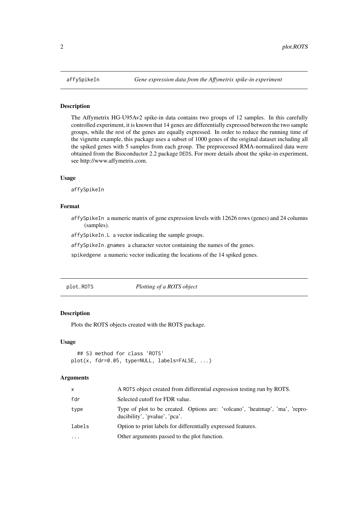#### <span id="page-1-1"></span><span id="page-1-0"></span>Description

The Affymetrix HG-U95Av2 spike-in data contains two groups of 12 samples. In this carefully controlled experiment, it is known that 14 genes are differentially expressed between the two sample groups, while the rest of the genes are equally expressed. In order to reduce the running time of the vignette example, this package uses a subset of 1000 genes of the original dataset including all the spiked genes with 5 samples from each group. The preprocessed RMA-normalized data were obtained from the Bioconductor 2.2 package DEDS. For more details about the spike-in experiment, see http://www.affymetrix.com.

#### Usage

affySpikeIn

#### Format

affySpikeIn a numeric matrix of gene expression levels with 12626 rows (genes) and 24 columns (samples).

affySpikeIn.L a vector indicating the sample groups.

affySpikeIn.gnames a character vector containing the names of the genes.

spikedgene a numeric vector indicating the locations of the 14 spiked genes.

plot.ROTS *Plotting of a ROTS object*

#### Description

Plots the ROTS objects created with the ROTS package.

#### Usage

```
## S3 method for class 'ROTS'
plot(x, fdr=0.05, type=NULL, labels=FALSE, ...)
```
#### Arguments

| x          | A ROTS object created from differential expression testing run by ROTS.                                       |
|------------|---------------------------------------------------------------------------------------------------------------|
| fdr        | Selected cutoff for FDR value.                                                                                |
| type       | Type of plot to be created. Options are: 'volcano', 'heatmap', 'ma', 'repro-<br>ducibility', 'pvalue', 'pca'. |
| labels     | Option to print labels for differentially expressed features.                                                 |
| $\ddots$ . | Other arguments passed to the plot function.                                                                  |
|            |                                                                                                               |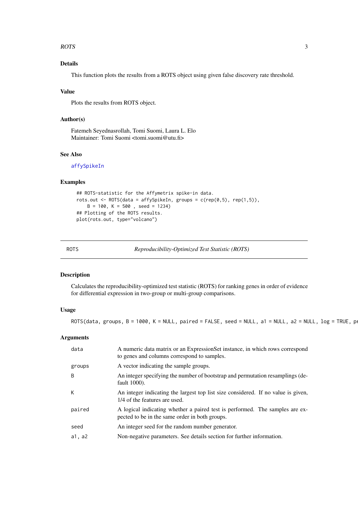#### <span id="page-2-0"></span>ROTS 3

#### Details

This function plots the results from a ROTS object using given false discovery rate threshold.

#### Value

Plots the results from ROTS object.

#### Author(s)

Fatemeh Seyednasrollah, Tomi Suomi, Laura L. Elo Maintainer: Tomi Suomi <tomi.suomi@utu.fi>

### See Also

[affySpikeIn](#page-1-1)

#### Examples

```
## ROTS-statistic for the Affymetrix spike-in data.
rots.out <- ROTS(data = affySpikeIn, groups = c(rep(\theta,5)), rep(1,5)),
   B = 100, K = 500, seed = 1234)
## Plotting of the ROTS results.
plot(rots.out, type="volcano")
```
ROTS *Reproducibility-Optimized Test Statistic (ROTS)*

#### Description

Calculates the reproducibility-optimized test statistic (ROTS) for ranking genes in order of evidence for differential expression in two-group or multi-group comparisons.

#### Usage

 $ROTS(data, groups, B = 1000, K = NULL, paired = FALSE, seed = NULL, a1 = NULL, a2 = NULL, log = TRUE, p$ 

#### Arguments

| data   | A numeric data matrix or an ExpressionSet instance, in which rows correspond<br>to genes and columns correspond to samples.    |
|--------|--------------------------------------------------------------------------------------------------------------------------------|
| groups | A vector indicating the sample groups.                                                                                         |
| B      | An integer specifying the number of bootstrap and permutation resamplings (de-<br>fault 1000).                                 |
| К      | An integer indicating the largest top list size considered. If no value is given,<br>1/4 of the features are used.             |
| paired | A logical indicating whether a paired test is performed. The samples are ex-<br>pected to be in the same order in both groups. |
| seed   | An integer seed for the random number generator.                                                                               |
| a1, a2 | Non-negative parameters. See details section for further information.                                                          |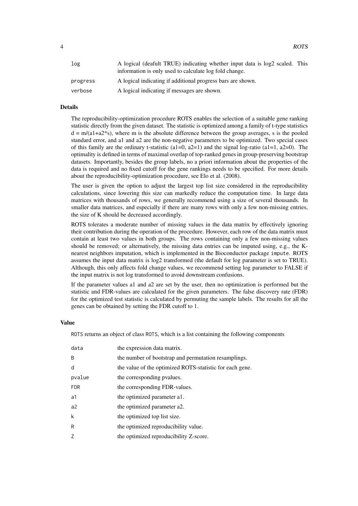| log      | A logical (deafult TRUE) indicating whether input data is log2 scaled. This<br>information is only used to calculate log fold change. |  |
|----------|---------------------------------------------------------------------------------------------------------------------------------------|--|
| progress | A logical indicating if additional progress bars are shown.                                                                           |  |
| verbose  | A logical indicating if messages are shown.                                                                                           |  |

#### Details

The reproducibility-optimization procedure ROTS enables the selection of a suitable gene ranking statistic directly from the given dataset. The statistic is optimized among a family of t-type statistics  $d = m/(a1+a2*s)$ , where m is the absolute difference between the group averages, s is the pooled standard error, and a1 and a2 are the non-negative parameters to be optimized. Two special cases of this family are the ordinary t-statistic (a1=0, a2=1) and the signal log-ratio (a1=1, a2=0). The optimality is defined in terms of maximal overlap of top-ranked genes in group-preserving bootstrap datasets. Importantly, besides the group labels, no a priori information about the properties of the data is required and no fixed cutoff for the gene rankings needs to be specified. For more details about the reproducibility-optimization procedure, see Elo et al. (2008).

The user is given the option to adjust the largest top list size considered in the reproducibility calculations, since lowering this size can markedly reduce the computation time. In large data matrices with thousands of rows, we generally recommend using a size of several thousands. In smaller data matrices, and especially if there are many rows with only a few non-missing entries, the size of K should be decreased accordingly.

ROTS tolerates a moderate number of missing values in the data matrix by effectively ignoring their contribution during the operation of the procedure. However, each row of the data matrix must contain at least two values in both groups. The rows containing only a few non-missing values should be removed; or alternatively, the missing data entries can be imputed using, e.g., the Knearest neighbors imputation, which is implemented in the Bioconductor package impute. ROTS assumes the input data matrix is log2 transformed (the default for log parameter is set to TRUE). Although, this only affects fold change values, we recommend setting log parameter to FALSE if the input matrix is not log transformed to avoid downstream confusions.

If the parameter values a1 and a2 are set by the user, then no optimization is performed but the statistic and FDR-values are calculated for the given parameters. The false discovery rate (FDR) for the optimized test statistic is calculated by permuting the sample labels. The results for all the genes can be obtained by setting the FDR cutoff to 1.

#### Value

ROTS returns an object of class ROTS, which is a list containing the following components

| data           | the expression data matrix.                              |
|----------------|----------------------------------------------------------|
| <sub>B</sub>   | the number of bootstrap and permutation resamplings.     |
| d              | the value of the optimized ROTS-statistic for each gene. |
| pvalue         | the corresponding pyalues.                               |
| <b>FDR</b>     | the corresponding FDR-values.                            |
| a1             | the optimized parameter al.                              |
| a <sup>2</sup> | the optimized parameter a2.                              |
| $\mathsf k$    | the optimized top list size.                             |
| R              | the optimized reproducibility value.                     |
| 7              | the optimized reproducibility Z-score.                   |
|                |                                                          |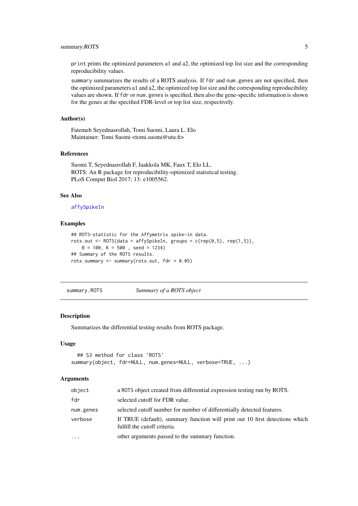<span id="page-4-0"></span>print prints the optimized parameters a1 and a2, the optimized top list size and the corresponding reproducibility values.

summary summarizes the results of a ROTS analysis. If fdr and num.genes are not specified, then the optimized parameters a1 and a2, the optimized top list size and the corresponding reproducibility values are shown. If fdr or num.genes is specified, then also the gene-specific information is shown for the genes at the specified FDR-level or top list size, respectively.

#### Author(s)

Fatemeh Seyednasrollah, Tomi Suomi, Laura L. Elo Maintainer: Tomi Suomi <tomi.suomi@utu.fi>

#### References

Suomi T, Seyednasrollah F, Jaakkola MK, Faux T, Elo LL. ROTS: An R package for reproducibility-optimized statistical testing. PLoS Comput Biol 2017; 13: e1005562.

#### See Also

#### [affySpikeIn](#page-1-1)

#### Examples

```
## ROTS-statistic for the Affymetrix spike-in data.
rots.out <- ROTS(data = affySpikeIn, groups = c(rep(\theta,5)), rep(1,5)),
   B = 100, K = 500, seed = 1234)
## Summary of the ROTS results.
rots.summary <- summary(rots.out, fdr = 0.05)
```
summary.ROTS *Summary of a ROTS object*

#### Description

Summarizes the differential testing results from ROTS package.

#### Usage

```
## S3 method for class 'ROTS'
summary(object, fdr=NULL, num.genes=NULL, verbose=TRUE, ...)
```
#### Arguments

| object    | a ROTS object created from differential expression testing run by ROTS.                                      |
|-----------|--------------------------------------------------------------------------------------------------------------|
| fdr       | selected cutoff for FDR value.                                                                               |
| num.genes | selected cutoff number for number of differentially detected features.                                       |
| verbose   | If TRUE (default), summary function will print out 10 first detections which<br>fulfill the cutoff criteria. |
| $\ddotsc$ | other arguments passed to the summary function.                                                              |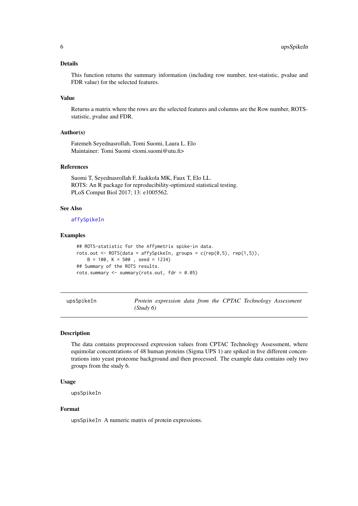#### <span id="page-5-0"></span>Details

This function returns the summary information (including row number, test-statistic, pvalue and FDR value) for the selected features.

#### Value

Returns a matrix where the rows are the selected features and columns are the Row number, ROTSstatistic, pvalue and FDR.

#### Author(s)

Fatemeh Seyednasrollah, Tomi Suomi, Laura L. Elo Maintainer: Tomi Suomi <tomi.suomi@utu.fi>

#### References

Suomi T, Seyednasrollah F, Jaakkola MK, Faux T, Elo LL. ROTS: An R package for reproducibility-optimized statistical testing. PLoS Comput Biol 2017; 13: e1005562.

### See Also

#### [affySpikeIn](#page-1-1)

#### Examples

```
## ROTS-statistic for the Affymetrix spike-in data.
rots.out <- ROTS(data = affySpikeIn, groups = c(rep(\theta,5)), rep(1,5)),
   B = 100, K = 500, seed = 1234)
## Summary of the ROTS results.
rots.summary <- summary(rots.out, fdr = 0.05)
```
upsSpikeIn *Protein expression data from the CPTAC Technology Assessment (Study 6)*

#### Description

The data contains preprocessed expression values from CPTAC Technology Assessment, where equimolar concentrations of 48 human proteins (Sigma UPS 1) are spiked in five different concentrations into yeast proteome background and then processed. The example data contains only two groups from the study 6.

#### Usage

```
upsSpikeIn
```
#### Format

upsSpikeIn A numeric matrix of protein expressions.